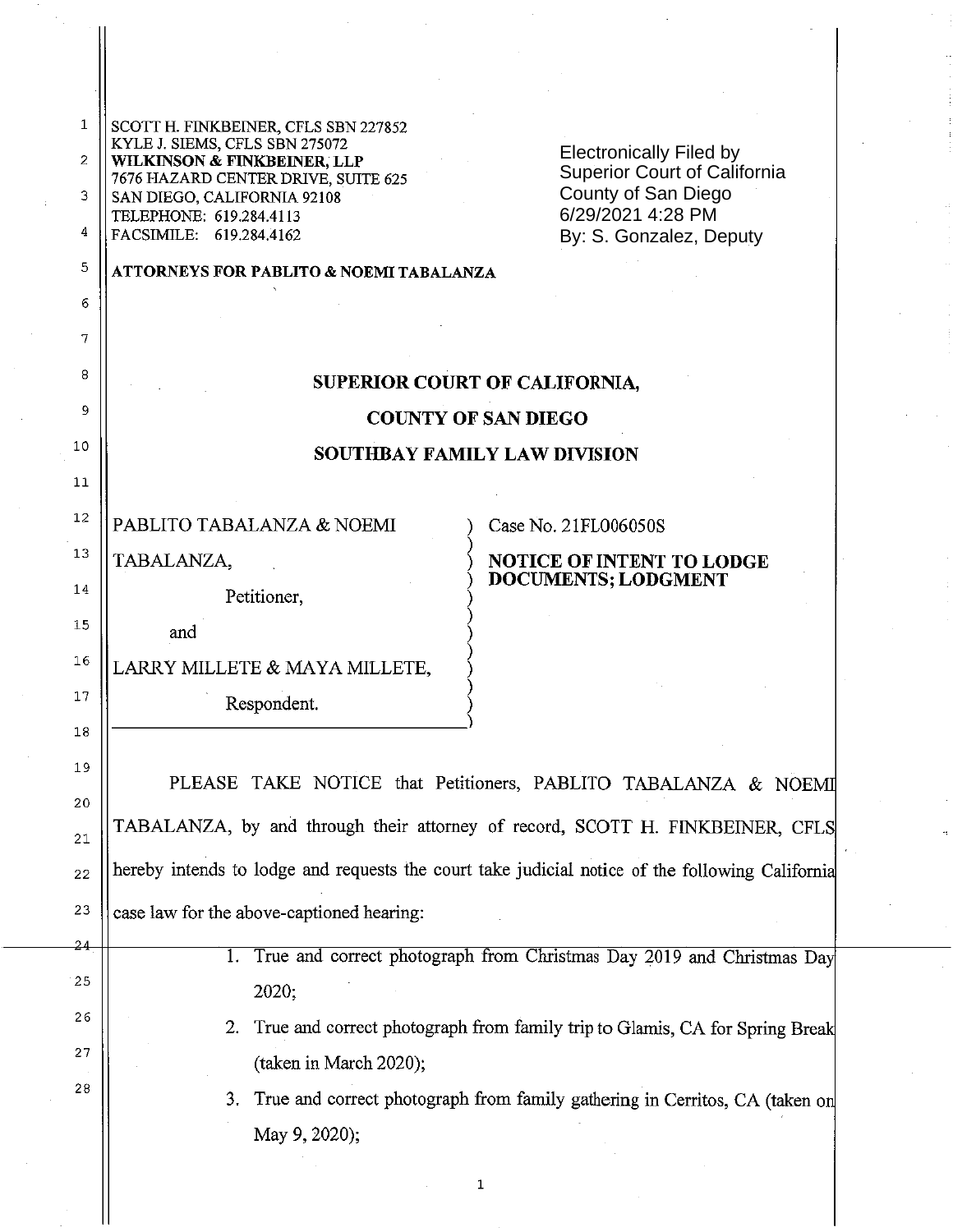| 1        | SCOTT H. FINKBEINER, CFLS SBN 227852                                                            |                                                                             |
|----------|-------------------------------------------------------------------------------------------------|-----------------------------------------------------------------------------|
| 2        | KYLE J. SIEMS, CFLS SBN 275072<br>WILKINSON & FINKBEINER, LLP                                   | <b>Electronically Filed by</b>                                              |
| 3        | 7676 HAZARD CENTER DRIVE, SUITE 625<br>SAN DIEGO, CALIFORNIA 92108                              | Superior Court of California<br>County of San Diego                         |
| 4        | TELEPHONE: 619.284.4113<br>FACSIMILE: 619.284.4162                                              | 6/29/2021 4:28 PM<br>By: S. Gonzalez, Deputy                                |
| 5        | <b>ATTORNEYS FOR PABLITO &amp; NOEMI TABALANZA</b>                                              |                                                                             |
| 6        |                                                                                                 |                                                                             |
| 7        |                                                                                                 |                                                                             |
| 8        | SUPERIOR COURT OF CALIFORNIA,                                                                   |                                                                             |
| 9        | <b>COUNTY OF SAN DIEGO</b>                                                                      |                                                                             |
| 10       | <b>SOUTHBAY FAMILY LAW DIVISION</b>                                                             |                                                                             |
| 11       |                                                                                                 |                                                                             |
| 12       | PABLITO TABALANZA & NOEMI                                                                       | Case No. 21FL006050S                                                        |
| 13       | TABALANZA,                                                                                      | <b>NOTICE OF INTENT TO LODGE</b>                                            |
| 14       | Petitioner,                                                                                     | <b>DOCUMENTS; LODGMENT</b>                                                  |
| 15       | and                                                                                             |                                                                             |
| 16       | LARRY MILLETE & MAYA MILLETE,                                                                   |                                                                             |
| 17       | Respondent.                                                                                     |                                                                             |
| 18       |                                                                                                 |                                                                             |
| 19       | PLEASE TAKE NOTICE that Petitioners, PABLITO TABALANZA & NOEMI                                  |                                                                             |
| 20       | TABALANZA, by and through their attorney of record, SCOTT H. FINKBEINER, CFLS                   |                                                                             |
| 21       | hereby intends to lodge and requests the court take judicial notice of the following California |                                                                             |
| 22       |                                                                                                 |                                                                             |
| 23<br>24 | case law for the above-captioned hearing:                                                       |                                                                             |
| 25       | True and correct photograph from Christmas Day 2019 and Christmas Day                           |                                                                             |
| 26       | 2020;                                                                                           |                                                                             |
| 27       | 2.                                                                                              | True and correct photograph from family trip to Glamis, CA for Spring Break |
| 28       | (taken in March 2020);                                                                          |                                                                             |
|          | True and correct photograph from family gathering in Cerritos, CA (taken on<br>3.               |                                                                             |
|          | May 9, 2020);                                                                                   |                                                                             |

1